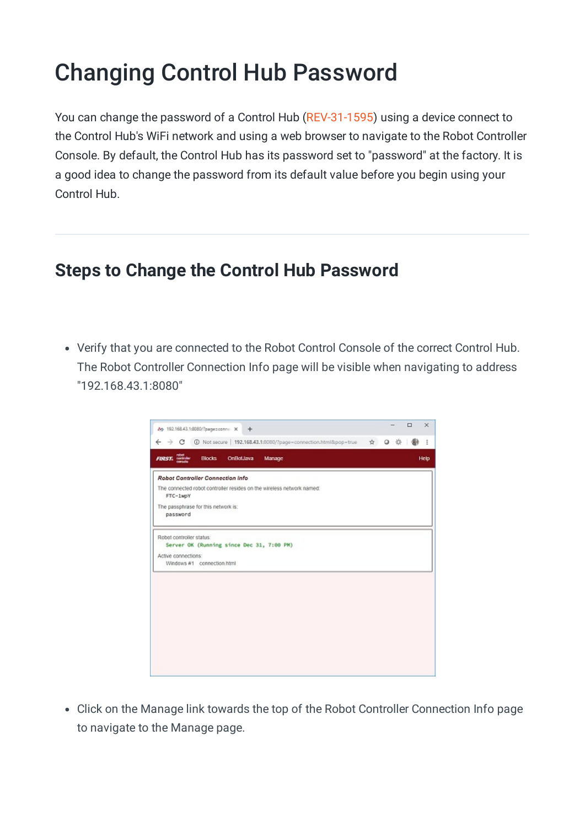## Changing Control Hub Password

You can change the password of a Control Hub [\(REV-31-1595](https://www.revrobotics.com/rev-31-1595/)) using a device connect to the Control Hub's WiFi network and using a web browser to navigate to the Robot Controller Console. By default, the Control Hub has its password set to "password" at the factory. It is a good idea to change the password from its default value before you begin using your Control Hub.

## **Steps to Change the Control Hub Password**

Verify that you are connected to the Robot Control Console of the correct Control Hub. The Robot Controller Connection Info page will be visible when navigating to address "192.168.43.1:8080"

| ☆ ◎ ※<br><b>Blocks</b><br><b>OnBotJava</b><br>Manage | ÷<br>Help | $\leftarrow$ $\rightarrow$ $C$ $D$ Not secure   192.168.43.1.9080/?page=connection.html&pop=true<br><b>FIRST</b> , <b>CONST</b><br>Robot Controller Connection Info.<br>The connected robot controller resides on the wireless network named:<br>FTC-1wpY<br>The passphrase for this network is:<br>password<br>Robot controller status:<br>Server OK (Running since Dec 31, 7:00 PM)<br>Active connections:<br>Windows #1 connection html | Ар 192.168.43.1:8080/?радиворите: Ж<br>$+$ |  |  | $\Box$ | $\times$ |
|------------------------------------------------------|-----------|--------------------------------------------------------------------------------------------------------------------------------------------------------------------------------------------------------------------------------------------------------------------------------------------------------------------------------------------------------------------------------------------------------------------------------------------|--------------------------------------------|--|--|--------|----------|
|                                                      |           |                                                                                                                                                                                                                                                                                                                                                                                                                                            |                                            |  |  |        |          |
|                                                      |           |                                                                                                                                                                                                                                                                                                                                                                                                                                            |                                            |  |  |        |          |
|                                                      |           |                                                                                                                                                                                                                                                                                                                                                                                                                                            |                                            |  |  |        |          |
|                                                      |           |                                                                                                                                                                                                                                                                                                                                                                                                                                            |                                            |  |  |        |          |
|                                                      |           |                                                                                                                                                                                                                                                                                                                                                                                                                                            |                                            |  |  |        |          |
|                                                      |           |                                                                                                                                                                                                                                                                                                                                                                                                                                            |                                            |  |  |        |          |
|                                                      |           |                                                                                                                                                                                                                                                                                                                                                                                                                                            |                                            |  |  |        |          |
|                                                      |           |                                                                                                                                                                                                                                                                                                                                                                                                                                            |                                            |  |  |        |          |
|                                                      |           |                                                                                                                                                                                                                                                                                                                                                                                                                                            |                                            |  |  |        |          |
|                                                      |           |                                                                                                                                                                                                                                                                                                                                                                                                                                            |                                            |  |  |        |          |
|                                                      |           |                                                                                                                                                                                                                                                                                                                                                                                                                                            |                                            |  |  |        |          |
|                                                      |           |                                                                                                                                                                                                                                                                                                                                                                                                                                            |                                            |  |  |        |          |
|                                                      |           |                                                                                                                                                                                                                                                                                                                                                                                                                                            |                                            |  |  |        |          |
|                                                      |           |                                                                                                                                                                                                                                                                                                                                                                                                                                            |                                            |  |  |        |          |
|                                                      |           |                                                                                                                                                                                                                                                                                                                                                                                                                                            |                                            |  |  |        |          |

Click on the Manage link towards the top of the Robot Controller Connection Info page to navigate to the Manage page.